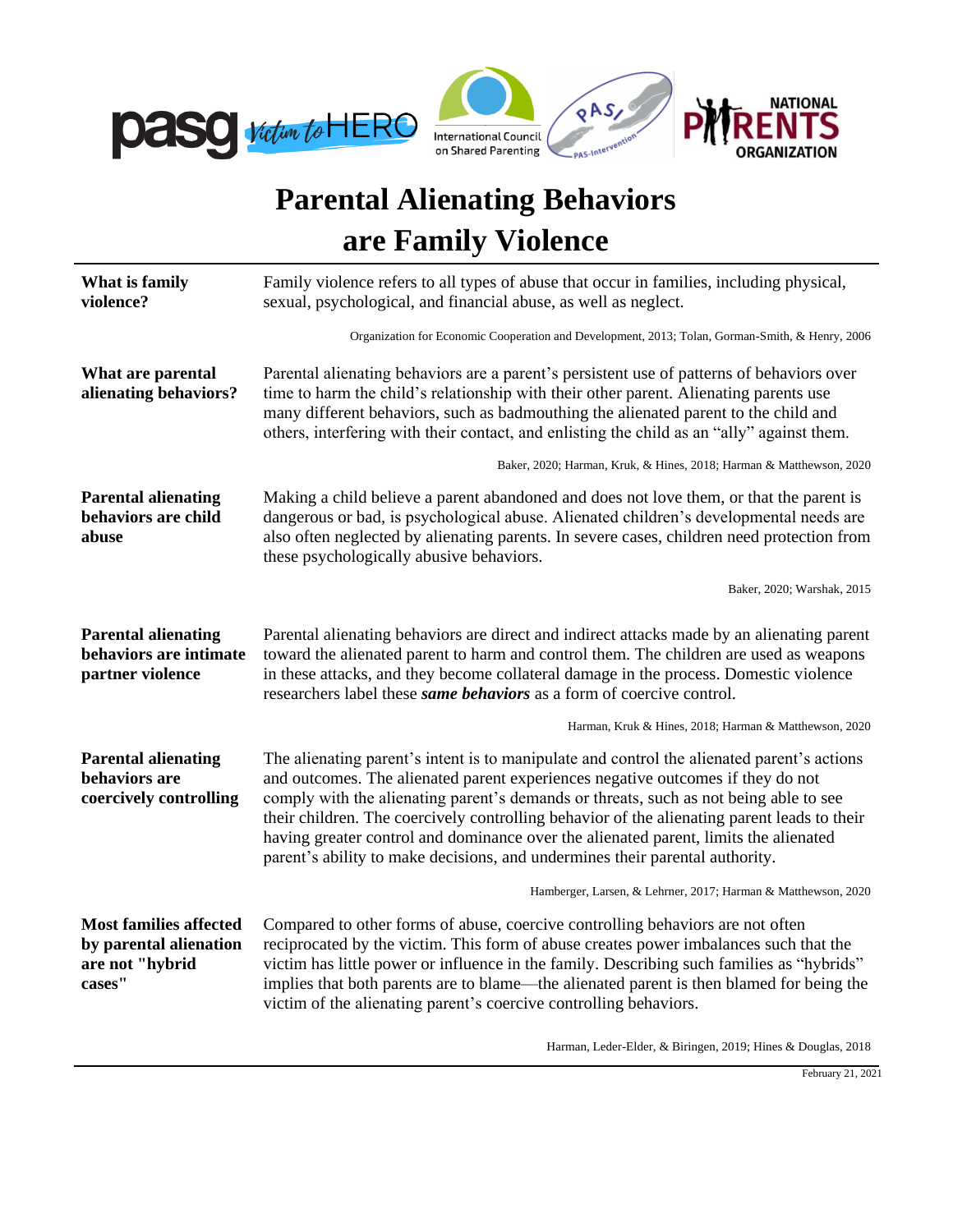

## **Parental Alienating Behaviors are Family Violence**

| What is family<br>violence?                                                          | Family violence refers to all types of abuse that occur in families, including physical,<br>sexual, psychological, and financial abuse, as well as neglect.                                                                                                                                                                                                                                                                                                                                                                                   |  |
|--------------------------------------------------------------------------------------|-----------------------------------------------------------------------------------------------------------------------------------------------------------------------------------------------------------------------------------------------------------------------------------------------------------------------------------------------------------------------------------------------------------------------------------------------------------------------------------------------------------------------------------------------|--|
|                                                                                      | Organization for Economic Cooperation and Development, 2013; Tolan, Gorman-Smith, & Henry, 2006                                                                                                                                                                                                                                                                                                                                                                                                                                               |  |
| What are parental<br>alienating behaviors?                                           | Parental alienating behaviors are a parent's persistent use of patterns of behaviors over<br>time to harm the child's relationship with their other parent. Alienating parents use<br>many different behaviors, such as badmouthing the alienated parent to the child and<br>others, interfering with their contact, and enlisting the child as an "ally" against them.                                                                                                                                                                       |  |
|                                                                                      | Baker, 2020; Harman, Kruk, & Hines, 2018; Harman & Matthewson, 2020                                                                                                                                                                                                                                                                                                                                                                                                                                                                           |  |
| <b>Parental alienating</b><br>behaviors are child<br>abuse                           | Making a child believe a parent abandoned and does not love them, or that the parent is<br>dangerous or bad, is psychological abuse. Alienated children's developmental needs are<br>also often neglected by alienating parents. In severe cases, children need protection from<br>these psychologically abusive behaviors.                                                                                                                                                                                                                   |  |
|                                                                                      | Baker, 2020; Warshak, 2015                                                                                                                                                                                                                                                                                                                                                                                                                                                                                                                    |  |
| <b>Parental alienating</b><br>behaviors are intimate<br>partner violence             | Parental alienating behaviors are direct and indirect attacks made by an alienating parent<br>toward the alienated parent to harm and control them. The children are used as weapons<br>in these attacks, and they become collateral damage in the process. Domestic violence<br>researchers label these same behaviors as a form of coercive control.                                                                                                                                                                                        |  |
|                                                                                      | Harman, Kruk & Hines, 2018; Harman & Matthewson, 2020                                                                                                                                                                                                                                                                                                                                                                                                                                                                                         |  |
| <b>Parental alienating</b><br>behaviors are<br>coercively controlling                | The alienating parent's intent is to manipulate and control the alienated parent's actions<br>and outcomes. The alienated parent experiences negative outcomes if they do not<br>comply with the alienating parent's demands or threats, such as not being able to see<br>their children. The coercively controlling behavior of the alienating parent leads to their<br>having greater control and dominance over the alienated parent, limits the alienated<br>parent's ability to make decisions, and undermines their parental authority. |  |
|                                                                                      | Hamberger, Larsen, & Lehrner, 2017; Harman & Matthewson, 2020                                                                                                                                                                                                                                                                                                                                                                                                                                                                                 |  |
| <b>Most families affected</b><br>by parental alienation<br>are not "hybrid<br>cases" | Compared to other forms of abuse, coercive controlling behaviors are not often<br>reciprocated by the victim. This form of abuse creates power imbalances such that the<br>victim has little power or influence in the family. Describing such families as "hybrids"<br>implies that both parents are to blame—the alienated parent is then blamed for being the<br>victim of the alienating parent's coercive controlling behaviors.                                                                                                         |  |
|                                                                                      | Harman, Leder-Elder, & Biringen, 2019; Hines & Douglas, 2018                                                                                                                                                                                                                                                                                                                                                                                                                                                                                  |  |